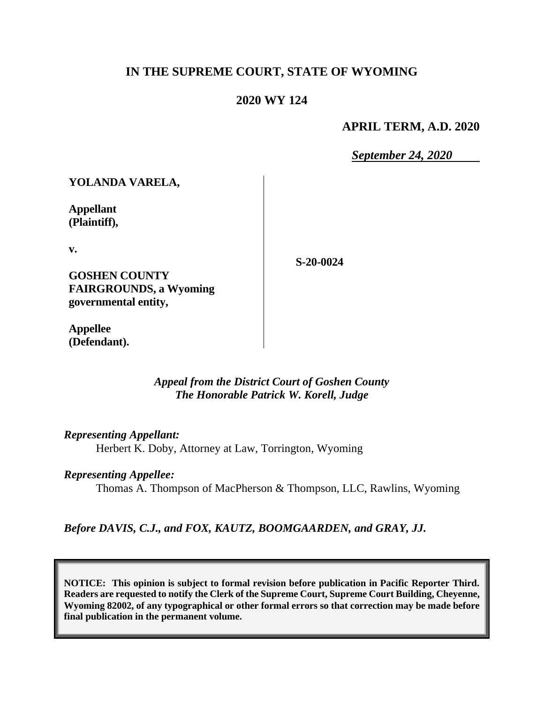## **IN THE SUPREME COURT, STATE OF WYOMING**

### **2020 WY 124**

### **APRIL TERM, A.D. 2020**

*September 24, 2020*

**YOLANDA VARELA,**

**Appellant (Plaintiff),**

**v.**

**S-20-0024**

**GOSHEN COUNTY FAIRGROUNDS, a Wyoming governmental entity,**

**Appellee (Defendant).**

> *Appeal from the District Court of Goshen County The Honorable Patrick W. Korell, Judge*

*Representing Appellant:*

Herbert K. Doby, Attorney at Law, Torrington, Wyoming

*Representing Appellee:*

Thomas A. Thompson of MacPherson & Thompson, LLC, Rawlins, Wyoming

*Before DAVIS, C.J., and FOX, KAUTZ, BOOMGAARDEN, and GRAY, JJ.*

**NOTICE: This opinion is subject to formal revision before publication in Pacific Reporter Third. Readers are requested to notify the Clerk of the Supreme Court, Supreme Court Building, Cheyenne, Wyoming 82002, of any typographical or other formal errors so that correction may be made before final publication in the permanent volume.**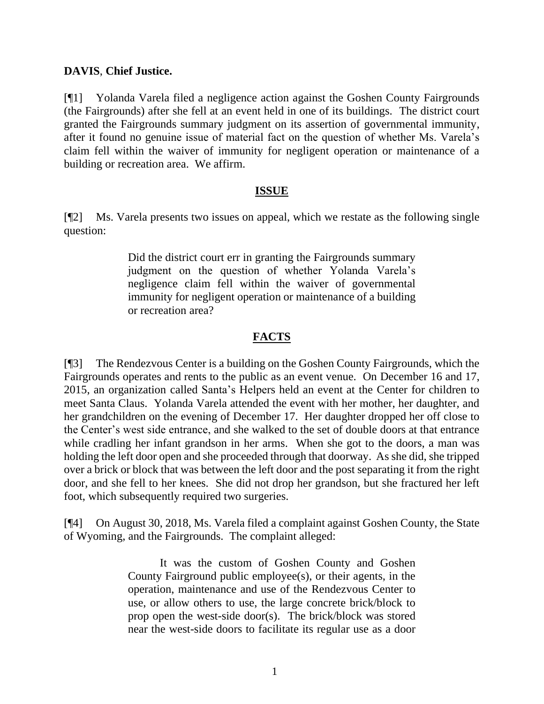### **DAVIS**, **Chief Justice.**

[¶1] Yolanda Varela filed a negligence action against the Goshen County Fairgrounds (the Fairgrounds) after she fell at an event held in one of its buildings. The district court granted the Fairgrounds summary judgment on its assertion of governmental immunity, after it found no genuine issue of material fact on the question of whether Ms. Varela's claim fell within the waiver of immunity for negligent operation or maintenance of a building or recreation area. We affirm.

### **ISSUE**

[¶2] Ms. Varela presents two issues on appeal, which we restate as the following single question:

> Did the district court err in granting the Fairgrounds summary judgment on the question of whether Yolanda Varela's negligence claim fell within the waiver of governmental immunity for negligent operation or maintenance of a building or recreation area?

## **FACTS**

[¶3] The Rendezvous Center is a building on the Goshen County Fairgrounds, which the Fairgrounds operates and rents to the public as an event venue. On December 16 and 17, 2015, an organization called Santa's Helpers held an event at the Center for children to meet Santa Claus. Yolanda Varela attended the event with her mother, her daughter, and her grandchildren on the evening of December 17. Her daughter dropped her off close to the Center's west side entrance, and she walked to the set of double doors at that entrance while cradling her infant grandson in her arms. When she got to the doors, a man was holding the left door open and she proceeded through that doorway. As she did, she tripped over a brick or block that was between the left door and the post separating it from the right door, and she fell to her knees. She did not drop her grandson, but she fractured her left foot, which subsequently required two surgeries.

[¶4] On August 30, 2018, Ms. Varela filed a complaint against Goshen County, the State of Wyoming, and the Fairgrounds. The complaint alleged:

> It was the custom of Goshen County and Goshen County Fairground public employee(s), or their agents, in the operation, maintenance and use of the Rendezvous Center to use, or allow others to use, the large concrete brick/block to prop open the west-side door(s). The brick/block was stored near the west-side doors to facilitate its regular use as a door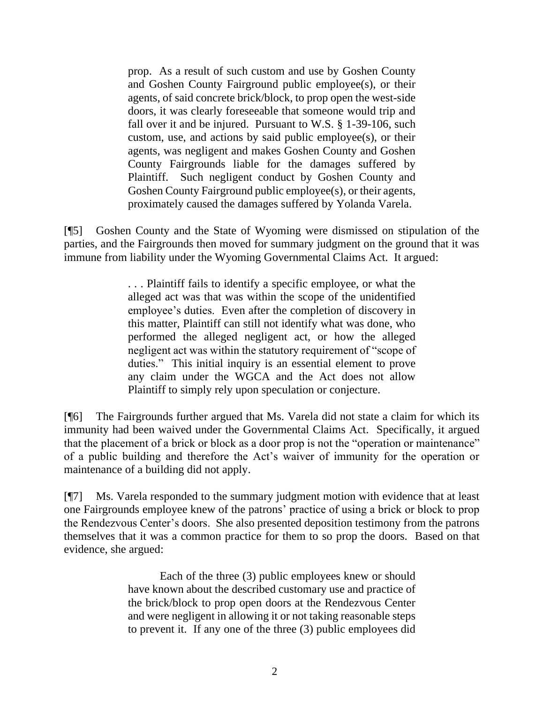prop. As a result of such custom and use by Goshen County and Goshen County Fairground public employee(s), or their agents, of said concrete brick/block, to prop open the west-side doors, it was clearly foreseeable that someone would trip and fall over it and be injured. Pursuant to W.S. § 1-39-106, such custom, use, and actions by said public employee(s), or their agents, was negligent and makes Goshen County and Goshen County Fairgrounds liable for the damages suffered by Plaintiff. Such negligent conduct by Goshen County and Goshen County Fairground public employee(s), or their agents, proximately caused the damages suffered by Yolanda Varela.

[¶5] Goshen County and the State of Wyoming were dismissed on stipulation of the parties, and the Fairgrounds then moved for summary judgment on the ground that it was immune from liability under the Wyoming Governmental Claims Act. It argued:

> . . . Plaintiff fails to identify a specific employee, or what the alleged act was that was within the scope of the unidentified employee's duties. Even after the completion of discovery in this matter, Plaintiff can still not identify what was done, who performed the alleged negligent act, or how the alleged negligent act was within the statutory requirement of "scope of duties." This initial inquiry is an essential element to prove any claim under the WGCA and the Act does not allow Plaintiff to simply rely upon speculation or conjecture.

[¶6] The Fairgrounds further argued that Ms. Varela did not state a claim for which its immunity had been waived under the Governmental Claims Act. Specifically, it argued that the placement of a brick or block as a door prop is not the "operation or maintenance" of a public building and therefore the Act's waiver of immunity for the operation or maintenance of a building did not apply.

[¶7] Ms. Varela responded to the summary judgment motion with evidence that at least one Fairgrounds employee knew of the patrons' practice of using a brick or block to prop the Rendezvous Center's doors. She also presented deposition testimony from the patrons themselves that it was a common practice for them to so prop the doors. Based on that evidence, she argued:

> Each of the three (3) public employees knew or should have known about the described customary use and practice of the brick/block to prop open doors at the Rendezvous Center and were negligent in allowing it or not taking reasonable steps to prevent it. If any one of the three (3) public employees did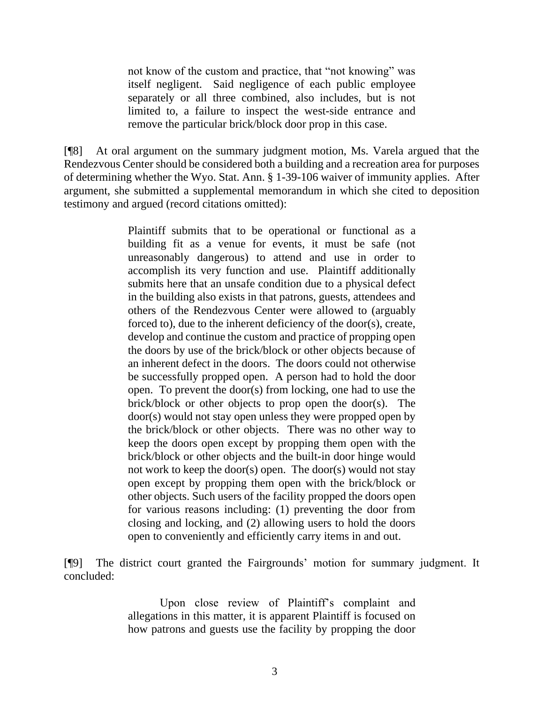not know of the custom and practice, that "not knowing" was itself negligent. Said negligence of each public employee separately or all three combined, also includes, but is not limited to, a failure to inspect the west-side entrance and remove the particular brick/block door prop in this case.

[¶8] At oral argument on the summary judgment motion, Ms. Varela argued that the Rendezvous Center should be considered both a building and a recreation area for purposes of determining whether the Wyo. Stat. Ann. § 1-39-106 waiver of immunity applies. After argument, she submitted a supplemental memorandum in which she cited to deposition testimony and argued (record citations omitted):

> Plaintiff submits that to be operational or functional as a building fit as a venue for events, it must be safe (not unreasonably dangerous) to attend and use in order to accomplish its very function and use. Plaintiff additionally submits here that an unsafe condition due to a physical defect in the building also exists in that patrons, guests, attendees and others of the Rendezvous Center were allowed to (arguably forced to), due to the inherent deficiency of the door(s), create, develop and continue the custom and practice of propping open the doors by use of the brick/block or other objects because of an inherent defect in the doors. The doors could not otherwise be successfully propped open. A person had to hold the door open. To prevent the door(s) from locking, one had to use the brick/block or other objects to prop open the door(s). The door(s) would not stay open unless they were propped open by the brick/block or other objects. There was no other way to keep the doors open except by propping them open with the brick/block or other objects and the built-in door hinge would not work to keep the door(s) open. The door(s) would not stay open except by propping them open with the brick/block or other objects. Such users of the facility propped the doors open for various reasons including: (1) preventing the door from closing and locking, and (2) allowing users to hold the doors open to conveniently and efficiently carry items in and out.

[¶9] The district court granted the Fairgrounds' motion for summary judgment. It concluded:

> Upon close review of Plaintiff's complaint and allegations in this matter, it is apparent Plaintiff is focused on how patrons and guests use the facility by propping the door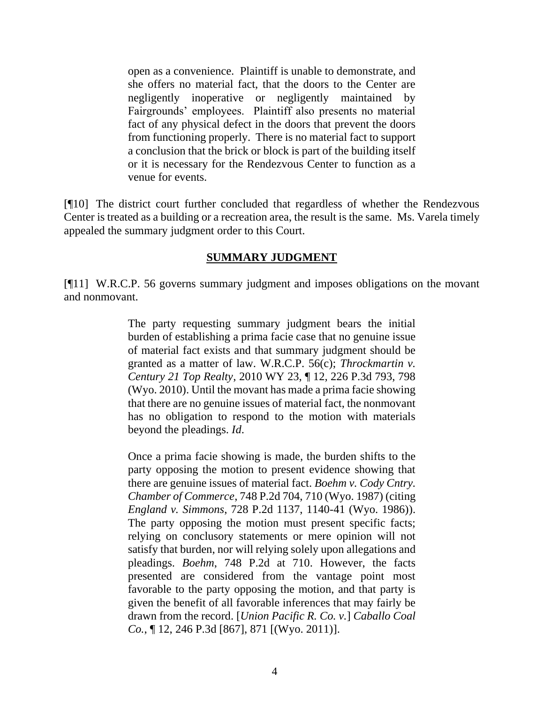open as a convenience. Plaintiff is unable to demonstrate, and she offers no material fact, that the doors to the Center are negligently inoperative or negligently maintained by Fairgrounds' employees. Plaintiff also presents no material fact of any physical defect in the doors that prevent the doors from functioning properly. There is no material fact to support a conclusion that the brick or block is part of the building itself or it is necessary for the Rendezvous Center to function as a venue for events.

[¶10] The district court further concluded that regardless of whether the Rendezvous Center is treated as a building or a recreation area, the result is the same. Ms. Varela timely appealed the summary judgment order to this Court.

### **SUMMARY JUDGMENT**

[¶11] [W.R.C.P. 56](http://www.westlaw.com/Link/Document/FullText?findType=L&pubNum=1008760&cite=WYRRCPR56&originatingDoc=I2f48c5e088b411e981b9f3f7c11376fd&refType=LQ&originationContext=document&vr=3.0&rs=cblt1.0&transitionType=DocumentItem&contextData=(sc.Search)) governs summary judgment and imposes obligations on the movant and nonmovant.

> The party requesting summary judgment bears the initial burden of establishing a prima facie case that no genuine issue of material fact exists and that summary judgment should be granted as a matter of law. [W.R.C.P. 56\(c\);](http://www.westlaw.com/Link/Document/FullText?findType=L&pubNum=1008760&cite=WYRRCPR56&originatingDoc=I2f48c5e088b411e981b9f3f7c11376fd&refType=LQ&originationContext=document&vr=3.0&rs=cblt1.0&transitionType=DocumentItem&contextData=(sc.Search)) *[Throckmartin v.](http://www.westlaw.com/Link/Document/FullText?findType=Y&serNum=2021462144&pubNum=0004645&originatingDoc=I2f48c5e088b411e981b9f3f7c11376fd&refType=RP&fi=co_pp_sp_4645_798&originationContext=document&vr=3.0&rs=cblt1.0&transitionType=DocumentItem&contextData=(sc.Search)#co_pp_sp_4645_798)  Century 21 Top Realty*[, 2010 WY 23, ¶ 12, 226 P.3d 793, 798](http://www.westlaw.com/Link/Document/FullText?findType=Y&serNum=2021462144&pubNum=0004645&originatingDoc=I2f48c5e088b411e981b9f3f7c11376fd&refType=RP&fi=co_pp_sp_4645_798&originationContext=document&vr=3.0&rs=cblt1.0&transitionType=DocumentItem&contextData=(sc.Search)#co_pp_sp_4645_798)  [\(Wyo. 2010\).](http://www.westlaw.com/Link/Document/FullText?findType=Y&serNum=2021462144&pubNum=0004645&originatingDoc=I2f48c5e088b411e981b9f3f7c11376fd&refType=RP&fi=co_pp_sp_4645_798&originationContext=document&vr=3.0&rs=cblt1.0&transitionType=DocumentItem&contextData=(sc.Search)#co_pp_sp_4645_798) Until the movant has made a prima facie showing that there are no genuine issues of material fact, the nonmovant has no obligation to respond to the motion with materials beyond the pleadings. *[Id](http://www.westlaw.com/Link/Document/FullText?findType=Y&serNum=2021462144&pubNum=0006431&originatingDoc=I2f48c5e088b411e981b9f3f7c11376fd&refType=RP&originationContext=document&vr=3.0&rs=cblt1.0&transitionType=DocumentItem&contextData=(sc.Search))*.

> Once a prima facie showing is made, the burden shifts to the party opposing the motion to present evidence showing that there are genuine issues of material fact. *[Boehm v. Cody Cntry.](http://www.westlaw.com/Link/Document/FullText?findType=Y&serNum=1988003696&pubNum=0000661&originatingDoc=I2f48c5e088b411e981b9f3f7c11376fd&refType=RP&fi=co_pp_sp_661_710&originationContext=document&vr=3.0&rs=cblt1.0&transitionType=DocumentItem&contextData=(sc.Search)#co_pp_sp_661_710)  Chamber of Commerce*[, 748 P.2d 704, 710 \(Wyo. 1987\)](http://www.westlaw.com/Link/Document/FullText?findType=Y&serNum=1988003696&pubNum=0000661&originatingDoc=I2f48c5e088b411e981b9f3f7c11376fd&refType=RP&fi=co_pp_sp_661_710&originationContext=document&vr=3.0&rs=cblt1.0&transitionType=DocumentItem&contextData=(sc.Search)#co_pp_sp_661_710) (citing *England v. Simmons*[, 728 P.2d 1137, 1140-41 \(Wyo. 1986\)\)](http://www.westlaw.com/Link/Document/FullText?findType=Y&serNum=1986159292&pubNum=0000661&originatingDoc=I2f48c5e088b411e981b9f3f7c11376fd&refType=RP&fi=co_pp_sp_661_1140&originationContext=document&vr=3.0&rs=cblt1.0&transitionType=DocumentItem&contextData=(sc.Search)#co_pp_sp_661_1140). The party opposing the motion must present specific facts; relying on conclusory statements or mere opinion will not satisfy that burden, nor will relying solely upon allegations and pleadings. *Boehm*[, 748 P.2d at 710.](http://www.westlaw.com/Link/Document/FullText?findType=Y&serNum=1988003696&pubNum=0000661&originatingDoc=I2f48c5e088b411e981b9f3f7c11376fd&refType=RP&fi=co_pp_sp_661_710&originationContext=document&vr=3.0&rs=cblt1.0&transitionType=DocumentItem&contextData=(sc.Search)#co_pp_sp_661_710) However, the facts presented are considered from the vantage point most favorable to the party opposing the motion, and that party is given the benefit of all favorable inferences that may fairly be drawn from the record. [*[Union Pacific R. Co. v.](http://www.westlaw.com/Link/Document/FullText?findType=Y&serNum=2024580781&pubNum=0004645&originatingDoc=I2f48c5e088b411e981b9f3f7c11376fd&refType=RP&fi=co_pp_sp_4645_871&originationContext=document&vr=3.0&rs=cblt1.0&transitionType=DocumentItem&contextData=(sc.Search)#co_pp_sp_4645_871)*] *Caballo Coal Co.*[, ¶ 12, 246 P.3d \[867\], 871 \[\(Wyo. 2011\)\]](http://www.westlaw.com/Link/Document/FullText?findType=Y&serNum=2024580781&pubNum=0004645&originatingDoc=I2f48c5e088b411e981b9f3f7c11376fd&refType=RP&fi=co_pp_sp_4645_871&originationContext=document&vr=3.0&rs=cblt1.0&transitionType=DocumentItem&contextData=(sc.Search)#co_pp_sp_4645_871).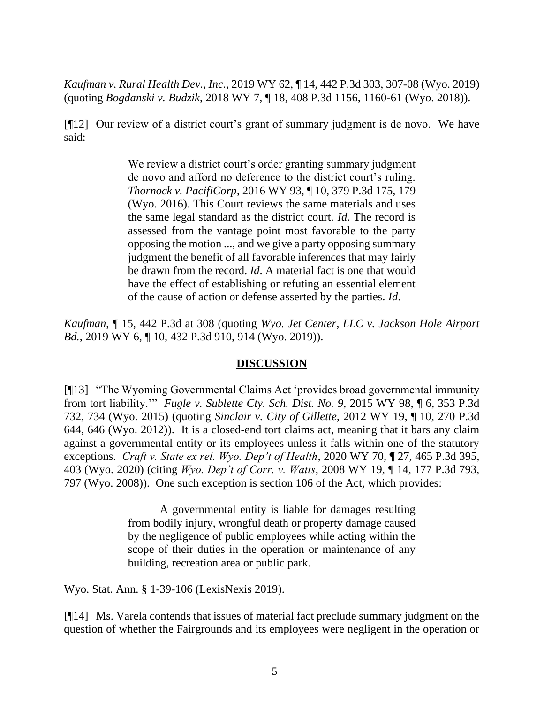*Kaufman v. Rural Health Dev., Inc.*, 2019 WY 62, ¶ 14, 442 P.3d 303, 307-08 (Wyo. 2019) (quoting *Bogdanski v. Budzik*[, 2018 WY 7, ¶ 18, 408 P.3d 1156, 1160-61 \(Wyo. 2018\)\)](http://www.westlaw.com/Link/Document/FullText?findType=Y&serNum=2043666011&pubNum=0004645&originatingDoc=I2f48c5e088b411e981b9f3f7c11376fd&refType=RP&fi=co_pp_sp_4645_1160&originationContext=document&vr=3.0&rs=cblt1.0&transitionType=DocumentItem&contextData=(sc.Search)#co_pp_sp_4645_1160).

[¶12] Our review of a district court's grant of summary judgment is de novo. We have said:

> We review a district court's order granting summary judgment de novo and afford no deference to the district court's ruling. *Thornock v. PacifiCorp*[, 2016 WY 93, ¶ 10, 379 P.3d 175, 179](http://www.westlaw.com/Link/Document/FullText?findType=Y&serNum=2039785923&pubNum=0004645&originatingDoc=I050886c0192511e9a573b12ad1dad226&refType=RP&fi=co_pp_sp_4645_179&originationContext=document&vr=3.0&rs=cblt1.0&transitionType=DocumentItem&contextData=(sc.Search)#co_pp_sp_4645_179)  [\(Wyo. 2016\).](http://www.westlaw.com/Link/Document/FullText?findType=Y&serNum=2039785923&pubNum=0004645&originatingDoc=I050886c0192511e9a573b12ad1dad226&refType=RP&fi=co_pp_sp_4645_179&originationContext=document&vr=3.0&rs=cblt1.0&transitionType=DocumentItem&contextData=(sc.Search)#co_pp_sp_4645_179) This Court reviews the same materials and uses the same legal standard as the district court. *[Id](http://www.westlaw.com/Link/Document/FullText?findType=Y&serNum=2039785923&pubNum=0006431&originatingDoc=I050886c0192511e9a573b12ad1dad226&refType=RP&originationContext=document&vr=3.0&rs=cblt1.0&transitionType=DocumentItem&contextData=(sc.Search))*. The record is assessed from the vantage point most favorable to the party opposing the motion ..., and we give a party opposing summary judgment the benefit of all favorable inferences that may fairly be drawn from the record. *[Id](http://www.westlaw.com/Link/Document/FullText?findType=Y&serNum=2039785923&pubNum=0006431&originatingDoc=I050886c0192511e9a573b12ad1dad226&refType=RP&originationContext=document&vr=3.0&rs=cblt1.0&transitionType=DocumentItem&contextData=(sc.Search))*. A material fact is one that would have the effect of establishing or refuting an essential element of the cause of action or defense asserted by the parties. *[Id](http://www.westlaw.com/Link/Document/FullText?findType=Y&serNum=2039785923&pubNum=0006431&originatingDoc=I050886c0192511e9a573b12ad1dad226&refType=RP&originationContext=document&vr=3.0&rs=cblt1.0&transitionType=DocumentItem&contextData=(sc.Search))*.

*Kaufman*, ¶ 15, 442 P.3d at 308 (quoting *Wyo. Jet Center, LLC v. Jackson Hole Airport Bd.*, 2019 WY 6, ¶ 10, 432 P.3d 910, 914 (Wyo. 2019)).

#### **DISCUSSION**

[¶13] "The Wyoming Governmental Claims Act 'provides broad governmental immunity from tort liability.'" *Fugle v. Sublette Cty. Sch. Dist. No. 9*, 2015 WY 98, ¶ 6, 353 P.3d 732, 734 (Wyo. 2015) (quoting *Sinclair v. City of Gillette*[, 2012 WY 19, ¶ 10, 270 P.3d](http://www.westlaw.com/Link/Document/FullText?findType=Y&serNum=2027068739&pubNum=0004645&originatingDoc=I123d94a1387611e5a795ac035416da91&refType=RP&fi=co_pp_sp_4645_646&originationContext=document&vr=3.0&rs=cblt1.0&transitionType=DocumentItem&contextData=(sc.UserEnteredCitation)#co_pp_sp_4645_646)  [644, 646 \(Wyo. 2012\)\)](http://www.westlaw.com/Link/Document/FullText?findType=Y&serNum=2027068739&pubNum=0004645&originatingDoc=I123d94a1387611e5a795ac035416da91&refType=RP&fi=co_pp_sp_4645_646&originationContext=document&vr=3.0&rs=cblt1.0&transitionType=DocumentItem&contextData=(sc.UserEnteredCitation)#co_pp_sp_4645_646). It is a closed-end tort claims act, meaning that it bars any claim against a governmental entity or its employees unless it falls within one of the statutory exceptions. *Craft v. State ex rel. Wyo. Dep't of Health*, 2020 WY 70, ¶ 27, 465 P.3d 395, 403 (Wyo. 2020) (citing *Wyo. Dep't of Corr. v. Watts*, 2008 WY 19, ¶ 14, 177 P.3d 793, 797 (Wyo. 2008)). One such exception is section 106 of the Act, which provides:

> A governmental entity is liable for damages resulting from bodily injury, wrongful death or property damage caused by the negligence of public employees while acting within the scope of their duties in the operation or maintenance of any building, recreation area or public park.

Wyo. Stat. Ann. § 1-39-106 (LexisNexis 2019).

[¶14] Ms. Varela contends that issues of material fact preclude summary judgment on the question of whether the Fairgrounds and its employees were negligent in the operation or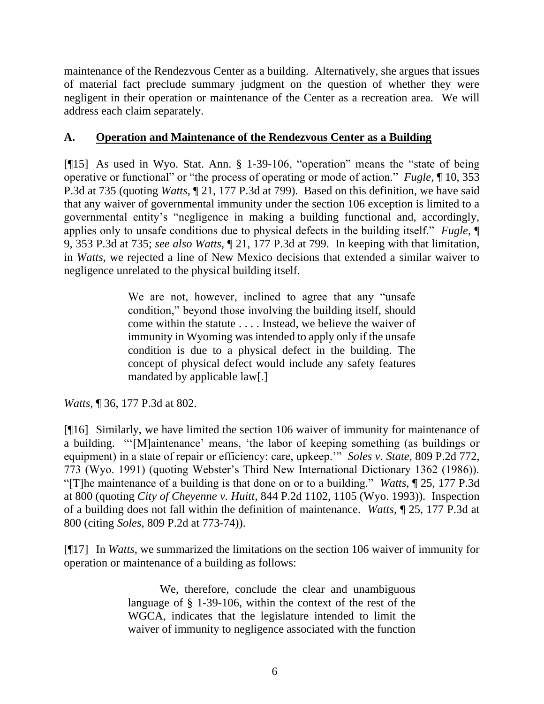maintenance of the Rendezvous Center as a building. Alternatively, she argues that issues of material fact preclude summary judgment on the question of whether they were negligent in their operation or maintenance of the Center as a recreation area. We will address each claim separately.

## **A. Operation and Maintenance of the Rendezvous Center as a Building**

[¶15] As used in Wyo. Stat. Ann. § 1-39-106, "operation" means the "state of being operative or functional" or "the process of operating or mode of action." *Fugle*, ¶ 10, 353 P.3d at 735 (quoting *Watts*[, ¶ 21, 177 P.3d at 799\).](http://www.westlaw.com/Link/Document/FullText?findType=Y&serNum=2015311200&pubNum=0004645&originatingDoc=I123d94a1387611e5a795ac035416da91&refType=RP&originationContext=document&vr=3.0&rs=cblt1.0&transitionType=DocumentItem&contextData=(sc.UserEnteredCitation)) Based on this definition, we have said that any waiver of governmental immunity under the section 106 exception is limited to a governmental entity's "negligence in making a building functional and, accordingly, applies only to unsafe conditions due to physical defects in the building itself." *Fugle*, ¶ 9, 353 P.3d at 735; *see also Watts*, ¶ 21, 177 P.3d at 799. In keeping with that limitation, in *Watts*, we rejected a line of New Mexico decisions that extended a similar waiver to negligence unrelated to the physical building itself.

> We are not, however, inclined to agree that any "unsafe condition," beyond those involving the building itself, should come within the statute . . . . Instead, we believe the waiver of immunity in Wyoming was intended to apply only if the unsafe condition is due to a physical defect in the building. The concept of physical defect would include any safety features mandated by applicable law[.]

*Watts*, ¶ 36, 177 P.3d at 802.

[¶16] Similarly, we have limited the section 106 waiver of immunity for maintenance of a building. "'[M]aintenance' means, 'the labor of keeping something (as buildings or equipment) in a state of repair or efficiency: care, upkeep.'" *Soles v. State*, 809 P.2d 772, 773 (Wyo. 1991) (quoting Webster's Third New International Dictionary 1362 (1986)). "[T]he maintenance of a building is that done on or to a building." *Watts*, ¶ 25, 177 P.3d at 800 (quoting *City of Cheyenne v. Huitt*, 844 P.2d 1102, 1105 (Wyo. 1993)). Inspection of a building does not fall within the definition of maintenance. *Watts,* ¶ 25, 177 P.3d at 800 (citing *Soles*, 809 P.2d at 773-74)).

[¶17] In *Watts*, we summarized the limitations on the section 106 waiver of immunity for operation or maintenance of a building as follows:

> We, therefore, conclude the clear and unambiguous language of [§ 1-39-106,](http://www.westlaw.com/Link/Document/FullText?findType=L&pubNum=1000377&cite=WYSTS1-39-106&originatingDoc=I2ebbb19fe15311dca9c2f716e0c816ba&refType=LQ&originationContext=document&vr=3.0&rs=cblt1.0&transitionType=DocumentItem&contextData=(sc.UserEnteredCitation)) within the context of the rest of the WGCA, indicates that the legislature intended to limit the waiver of immunity to negligence associated with the function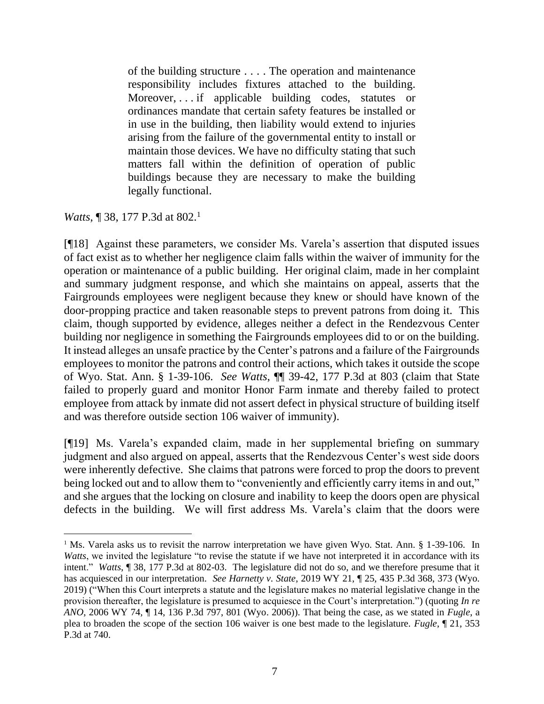of the building structure . . . . The operation and maintenance responsibility includes fixtures attached to the building. Moreover, . . . if applicable building codes, statutes or ordinances mandate that certain safety features be installed or in use in the building, then liability would extend to injuries arising from the failure of the governmental entity to install or maintain those devices. We have no difficulty stating that such matters fall within the definition of operation of public buildings because they are necessary to make the building legally functional.

*Watts*, **[** 38, 177 P.3d at 802.<sup>1</sup>

[¶18] Against these parameters, we consider Ms. Varela's assertion that disputed issues of fact exist as to whether her negligence claim falls within the waiver of immunity for the operation or maintenance of a public building. Her original claim, made in her complaint and summary judgment response, and which she maintains on appeal, asserts that the Fairgrounds employees were negligent because they knew or should have known of the door-propping practice and taken reasonable steps to prevent patrons from doing it. This claim, though supported by evidence, alleges neither a defect in the Rendezvous Center building nor negligence in something the Fairgrounds employees did to or on the building. It instead alleges an unsafe practice by the Center's patrons and a failure of the Fairgrounds employees to monitor the patrons and control their actions, which takes it outside the scope of Wyo. Stat. Ann. § 1-39-106. *See Watts*, ¶¶ 39-42, 177 P.3d at 803 (claim that State failed to properly guard and monitor Honor Farm inmate and thereby failed to protect employee from attack by inmate did not assert defect in physical structure of building itself and was therefore outside section 106 waiver of immunity).

[¶19] Ms. Varela's expanded claim, made in her supplemental briefing on summary judgment and also argued on appeal, asserts that the Rendezvous Center's west side doors were inherently defective. She claims that patrons were forced to prop the doors to prevent being locked out and to allow them to "conveniently and efficiently carry items in and out," and she argues that the locking on closure and inability to keep the doors open are physical defects in the building. We will first address Ms. Varela's claim that the doors were

<sup>&</sup>lt;sup>1</sup> Ms. Varela asks us to revisit the narrow interpretation we have given Wyo. Stat. Ann. § 1-39-106. In *Watts*, we invited the legislature "to revise the statute if we have not interpreted it in accordance with its intent." *Watts*, ¶ 38, 177 P.3d at 802-03. The legislature did not do so, and we therefore presume that it has acquiesced in our interpretation. *See Harnetty v. State*, 2019 WY 21, ¶ 25, 435 P.3d 368, 373 (Wyo. 2019) ("When this Court interprets a statute and the legislature makes no material legislative change in the provision thereafter, the legislature is presumed to acquiesce in the Court's interpretation.") (quoting *[In re](http://www.westlaw.com/Link/Document/FullText?findType=Y&serNum=2009420529&pubNum=0004645&originatingDoc=I97984d903aea11e987fd8441446aa305&refType=RP&fi=co_pp_sp_4645_801&originationContext=document&vr=3.0&rs=cblt1.0&transitionType=DocumentItem&contextData=(sc.UserEnteredCitation)#co_pp_sp_4645_801)  ANO*[, 2006 WY 74, ¶ 14, 136 P.3d 797, 801 \(Wyo. 2006\)\)](http://www.westlaw.com/Link/Document/FullText?findType=Y&serNum=2009420529&pubNum=0004645&originatingDoc=I97984d903aea11e987fd8441446aa305&refType=RP&fi=co_pp_sp_4645_801&originationContext=document&vr=3.0&rs=cblt1.0&transitionType=DocumentItem&contextData=(sc.UserEnteredCitation)#co_pp_sp_4645_801). That being the case, as we stated in *Fugle*, a plea to broaden the scope of the section 106 waiver is one best made to the legislature. *Fugle*, ¶ 21, 353 P.3d at 740.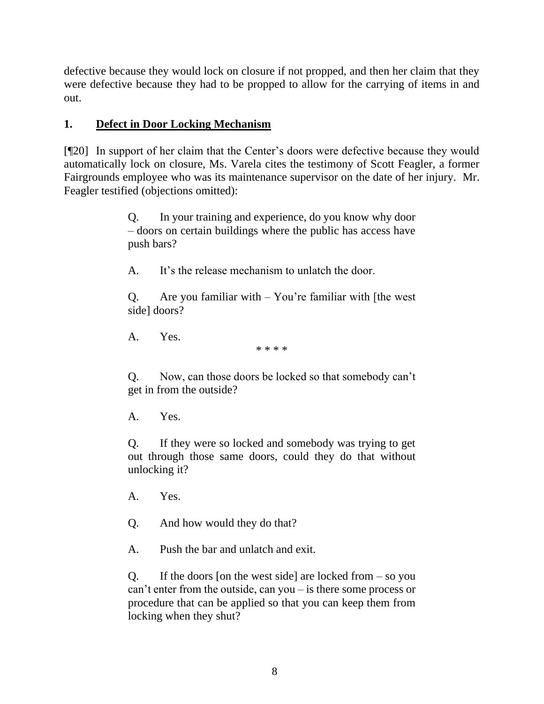defective because they would lock on closure if not propped, and then her claim that they were defective because they had to be propped to allow for the carrying of items in and out.

## **1. Defect in Door Locking Mechanism**

[¶20] In support of her claim that the Center's doors were defective because they would automatically lock on closure, Ms. Varela cites the testimony of Scott Feagler, a former Fairgrounds employee who was its maintenance supervisor on the date of her injury. Mr. Feagler testified (objections omitted):

> Q. In your training and experience, do you know why door – doors on certain buildings where the public has access have push bars?

A. It's the release mechanism to unlatch the door.

Q. Are you familiar with  $-$  You're familiar with [the west] side] doors?

A. Yes.

\* \* \* \*

Q. Now, can those doors be locked so that somebody can't get in from the outside?

A. Yes.

Q. If they were so locked and somebody was trying to get out through those same doors, could they do that without unlocking it?

- A. Yes.
- Q. And how would they do that?
- A. Push the bar and unlatch and exit.

Q. If the doors [on the west side] are locked from  $-$  so you can't enter from the outside, can you – is there some process or procedure that can be applied so that you can keep them from locking when they shut?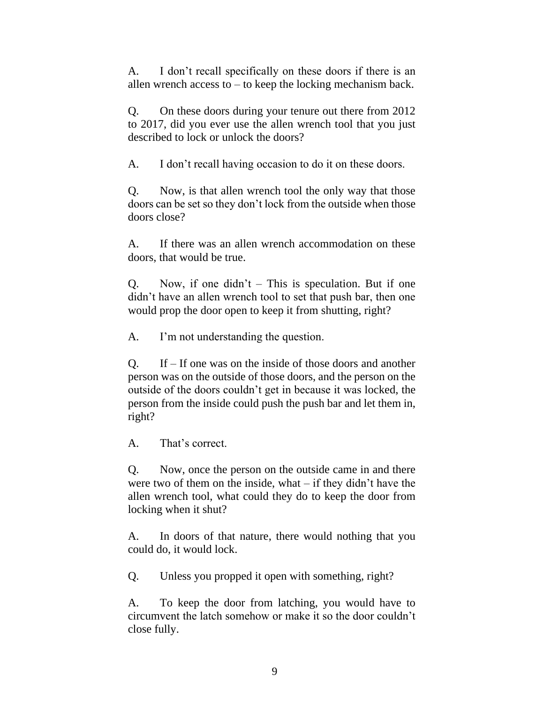A. I don't recall specifically on these doors if there is an allen wrench access to – to keep the locking mechanism back.

Q. On these doors during your tenure out there from 2012 to 2017, did you ever use the allen wrench tool that you just described to lock or unlock the doors?

A. I don't recall having occasion to do it on these doors.

Q. Now, is that allen wrench tool the only way that those doors can be set so they don't lock from the outside when those doors close?

A. If there was an allen wrench accommodation on these doors, that would be true.

Q. Now, if one didn't  $-$  This is speculation. But if one didn't have an allen wrench tool to set that push bar, then one would prop the door open to keep it from shutting, right?

A. I'm not understanding the question.

Q. If – If one was on the inside of those doors and another person was on the outside of those doors, and the person on the outside of the doors couldn't get in because it was locked, the person from the inside could push the push bar and let them in, right?

A. That's correct.

Q. Now, once the person on the outside came in and there were two of them on the inside, what  $-$  if they didn't have the allen wrench tool, what could they do to keep the door from locking when it shut?

A. In doors of that nature, there would nothing that you could do, it would lock.

Q. Unless you propped it open with something, right?

A. To keep the door from latching, you would have to circumvent the latch somehow or make it so the door couldn't close fully.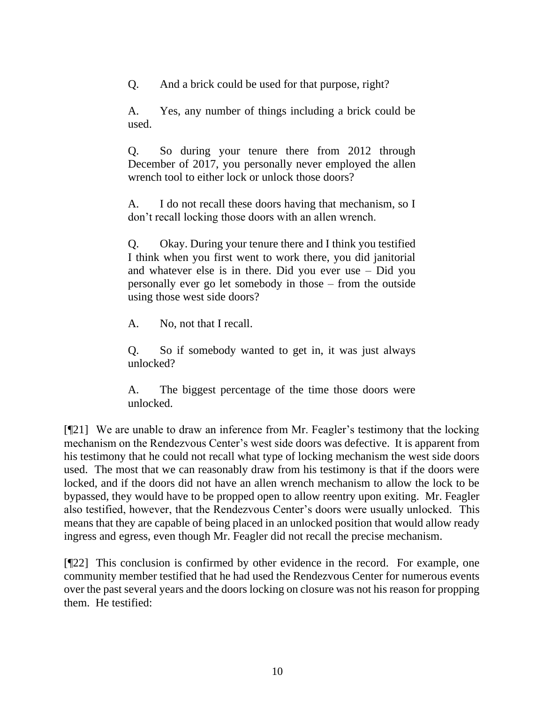Q. And a brick could be used for that purpose, right?

A. Yes, any number of things including a brick could be used.

Q. So during your tenure there from 2012 through December of 2017, you personally never employed the allen wrench tool to either lock or unlock those doors?

A. I do not recall these doors having that mechanism, so I don't recall locking those doors with an allen wrench.

Q. Okay. During your tenure there and I think you testified I think when you first went to work there, you did janitorial and whatever else is in there. Did you ever use – Did you personally ever go let somebody in those – from the outside using those west side doors?

A. No, not that I recall.

Q. So if somebody wanted to get in, it was just always unlocked?

A. The biggest percentage of the time those doors were unlocked.

[¶21] We are unable to draw an inference from Mr. Feagler's testimony that the locking mechanism on the Rendezvous Center's west side doors was defective. It is apparent from his testimony that he could not recall what type of locking mechanism the west side doors used. The most that we can reasonably draw from his testimony is that if the doors were locked, and if the doors did not have an allen wrench mechanism to allow the lock to be bypassed, they would have to be propped open to allow reentry upon exiting. Mr. Feagler also testified, however, that the Rendezvous Center's doors were usually unlocked. This means that they are capable of being placed in an unlocked position that would allow ready ingress and egress, even though Mr. Feagler did not recall the precise mechanism.

[¶22] This conclusion is confirmed by other evidence in the record. For example, one community member testified that he had used the Rendezvous Center for numerous events over the past several years and the doors locking on closure was not his reason for propping them. He testified: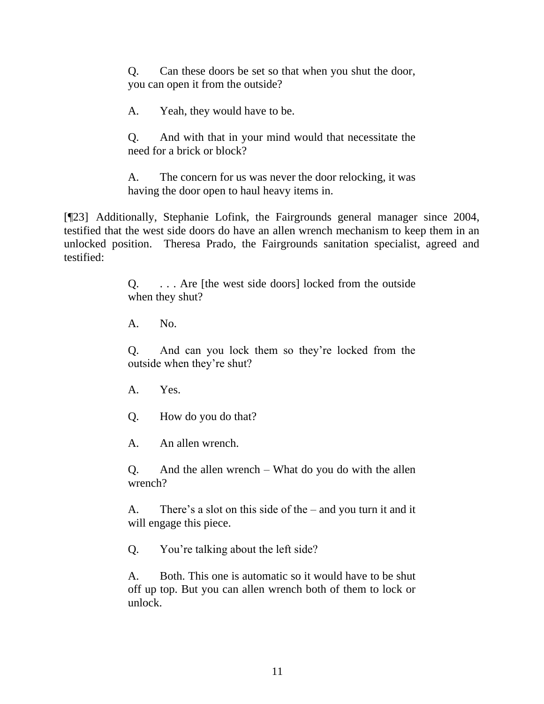Q. Can these doors be set so that when you shut the door, you can open it from the outside?

A. Yeah, they would have to be.

Q. And with that in your mind would that necessitate the need for a brick or block?

A. The concern for us was never the door relocking, it was having the door open to haul heavy items in.

[¶23] Additionally, Stephanie Lofink, the Fairgrounds general manager since 2004, testified that the west side doors do have an allen wrench mechanism to keep them in an unlocked position. Theresa Prado, the Fairgrounds sanitation specialist, agreed and testified:

> Q. . . . Are [the west side doors] locked from the outside when they shut?

A. No.

Q. And can you lock them so they're locked from the outside when they're shut?

A. Yes.

Q. How do you do that?

A. An allen wrench.

Q. And the allen wrench – What do you do with the allen wrench?

A. There's a slot on this side of the – and you turn it and it will engage this piece.

Q. You're talking about the left side?

A. Both. This one is automatic so it would have to be shut off up top. But you can allen wrench both of them to lock or unlock.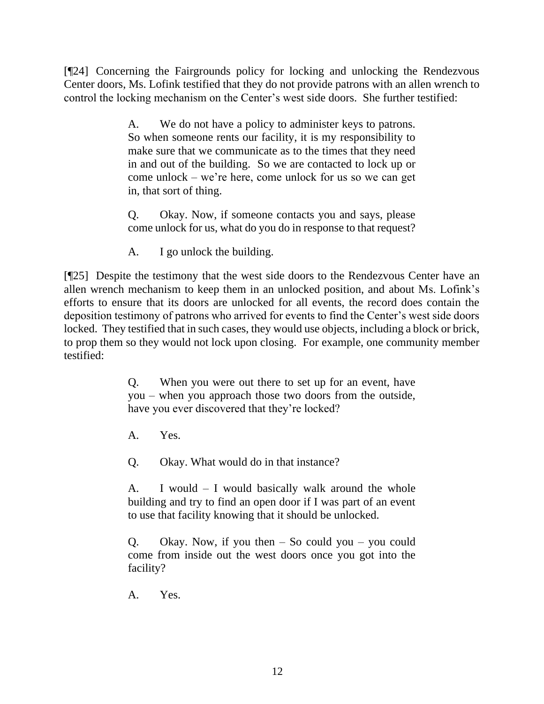[¶24] Concerning the Fairgrounds policy for locking and unlocking the Rendezvous Center doors, Ms. Lofink testified that they do not provide patrons with an allen wrench to control the locking mechanism on the Center's west side doors. She further testified:

> A. We do not have a policy to administer keys to patrons. So when someone rents our facility, it is my responsibility to make sure that we communicate as to the times that they need in and out of the building. So we are contacted to lock up or come unlock – we're here, come unlock for us so we can get in, that sort of thing.

> Q. Okay. Now, if someone contacts you and says, please come unlock for us, what do you do in response to that request?

A. I go unlock the building.

[¶25] Despite the testimony that the west side doors to the Rendezvous Center have an allen wrench mechanism to keep them in an unlocked position, and about Ms. Lofink's efforts to ensure that its doors are unlocked for all events, the record does contain the deposition testimony of patrons who arrived for events to find the Center's west side doors locked. They testified that in such cases, they would use objects, including a block or brick, to prop them so they would not lock upon closing. For example, one community member testified:

> Q. When you were out there to set up for an event, have you – when you approach those two doors from the outside, have you ever discovered that they're locked?

A. Yes.

Q. Okay. What would do in that instance?

A. I would – I would basically walk around the whole building and try to find an open door if I was part of an event to use that facility knowing that it should be unlocked.

Q. Okay. Now, if you then  $-$  So could you  $-$  you could come from inside out the west doors once you got into the facility?

A. Yes.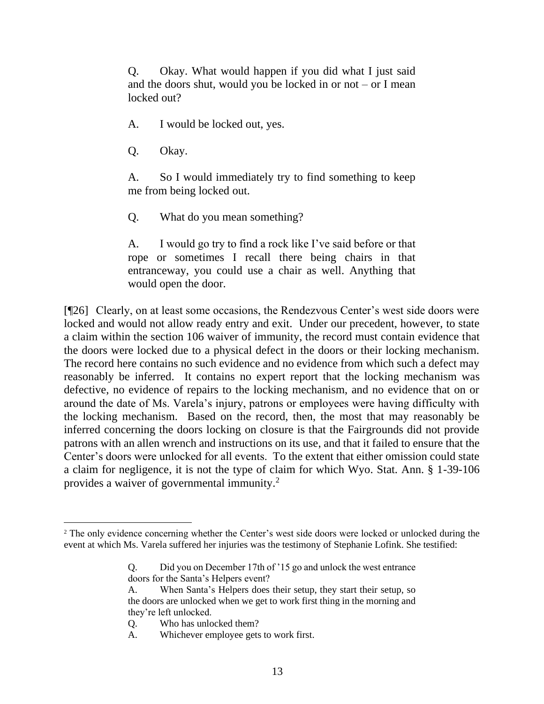Q. Okay. What would happen if you did what I just said and the doors shut, would you be locked in or not – or I mean locked out?

A. I would be locked out, yes.

Q. Okay.

A. So I would immediately try to find something to keep me from being locked out.

Q. What do you mean something?

A. I would go try to find a rock like I've said before or that rope or sometimes I recall there being chairs in that entranceway, you could use a chair as well. Anything that would open the door.

[¶26] Clearly, on at least some occasions, the Rendezvous Center's west side doors were locked and would not allow ready entry and exit. Under our precedent, however, to state a claim within the section 106 waiver of immunity, the record must contain evidence that the doors were locked due to a physical defect in the doors or their locking mechanism. The record here contains no such evidence and no evidence from which such a defect may reasonably be inferred. It contains no expert report that the locking mechanism was defective, no evidence of repairs to the locking mechanism, and no evidence that on or around the date of Ms. Varela's injury, patrons or employees were having difficulty with the locking mechanism. Based on the record, then, the most that may reasonably be inferred concerning the doors locking on closure is that the Fairgrounds did not provide patrons with an allen wrench and instructions on its use, and that it failed to ensure that the Center's doors were unlocked for all events. To the extent that either omission could state a claim for negligence, it is not the type of claim for which Wyo. Stat. Ann. § 1-39-106 provides a waiver of governmental immunity.<sup>2</sup>

<sup>&</sup>lt;sup>2</sup> The only evidence concerning whether the Center's west side doors were locked or unlocked during the event at which Ms. Varela suffered her injuries was the testimony of Stephanie Lofink. She testified:

Q. Did you on December 17th of '15 go and unlock the west entrance doors for the Santa's Helpers event?

A. When Santa's Helpers does their setup, they start their setup, so the doors are unlocked when we get to work first thing in the morning and they're left unlocked.

Q. Who has unlocked them?

A. Whichever employee gets to work first.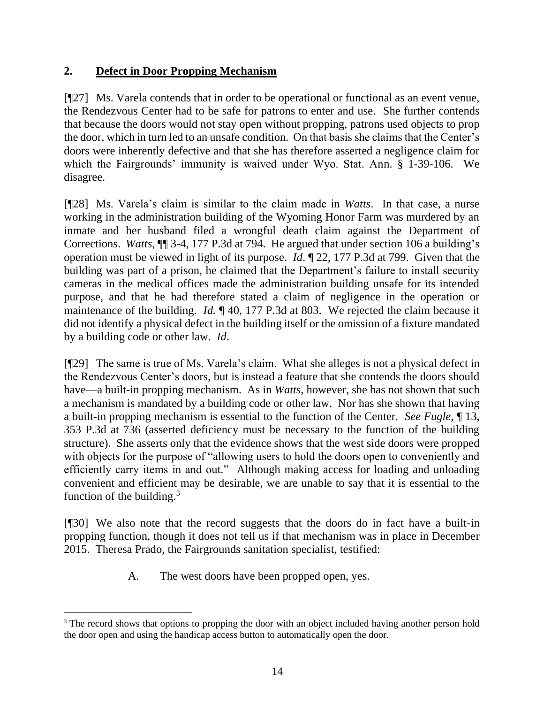## **2. Defect in Door Propping Mechanism**

[¶27] Ms. Varela contends that in order to be operational or functional as an event venue, the Rendezvous Center had to be safe for patrons to enter and use. She further contends that because the doors would not stay open without propping, patrons used objects to prop the door, which in turn led to an unsafe condition. On that basis she claims that the Center's doors were inherently defective and that she has therefore asserted a negligence claim for which the Fairgrounds' immunity is waived under Wyo. Stat. Ann. § 1-39-106. We disagree.

[¶28] Ms. Varela's claim is similar to the claim made in *Watts*. In that case, a nurse working in the administration building of the Wyoming Honor Farm was murdered by an inmate and her husband filed a wrongful death claim against the Department of Corrections. *Watts*, ¶¶ 3-4, 177 P.3d at 794. He argued that under section 106 a building's operation must be viewed in light of its purpose. *Id*. ¶ 22, 177 P.3d at 799. Given that the building was part of a prison, he claimed that the Department's failure to install security cameras in the medical offices made the administration building unsafe for its intended purpose, and that he had therefore stated a claim of negligence in the operation or maintenance of the building. *Id.* ¶ 40, 177 P.3d at 803. We rejected the claim because it did not identify a physical defect in the building itself or the omission of a fixture mandated by a building code or other law. *Id*.

[¶29] The same is true of Ms. Varela's claim. What she alleges is not a physical defect in the Rendezvous Center's doors, but is instead a feature that she contends the doors should have—a built-in propping mechanism. As in *Watts*, however, she has not shown that such a mechanism is mandated by a building code or other law. Nor has she shown that having a built-in propping mechanism is essential to the function of the Center. *See Fugle*, ¶ 13, 353 P.3d at 736 (asserted deficiency must be necessary to the function of the building structure). She asserts only that the evidence shows that the west side doors were propped with objects for the purpose of "allowing users to hold the doors open to conveniently and efficiently carry items in and out." Although making access for loading and unloading convenient and efficient may be desirable, we are unable to say that it is essential to the function of the building. $3$ 

[¶30] We also note that the record suggests that the doors do in fact have a built-in propping function, though it does not tell us if that mechanism was in place in December 2015. Theresa Prado, the Fairgrounds sanitation specialist, testified:

A. The west doors have been propped open, yes.

<sup>&</sup>lt;sup>3</sup> The record shows that options to propping the door with an object included having another person hold the door open and using the handicap access button to automatically open the door.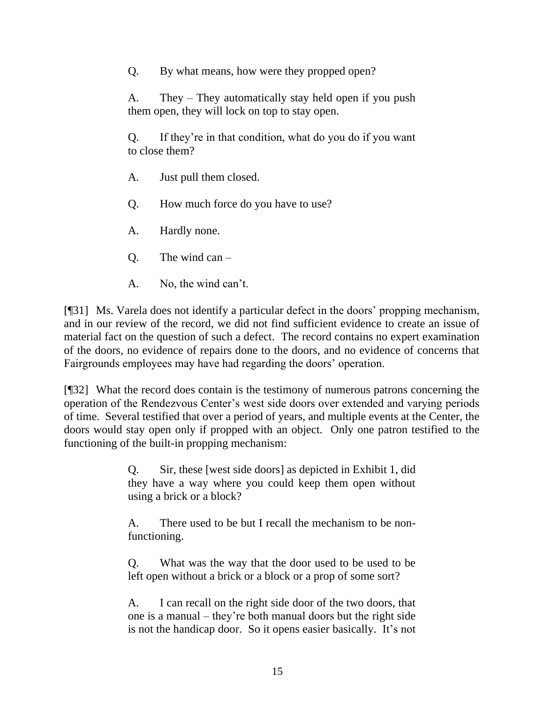Q. By what means, how were they propped open?

A. They – They automatically stay held open if you push them open, they will lock on top to stay open.

Q. If they're in that condition, what do you do if you want to close them?

- A. Just pull them closed.
- Q. How much force do you have to use?
- A. Hardly none.
- $Q.$  The wind can  $-$
- A. No, the wind can't.

[¶31] Ms. Varela does not identify a particular defect in the doors' propping mechanism, and in our review of the record, we did not find sufficient evidence to create an issue of material fact on the question of such a defect. The record contains no expert examination of the doors, no evidence of repairs done to the doors, and no evidence of concerns that Fairgrounds employees may have had regarding the doors' operation.

[¶32] What the record does contain is the testimony of numerous patrons concerning the operation of the Rendezvous Center's west side doors over extended and varying periods of time. Several testified that over a period of years, and multiple events at the Center, the doors would stay open only if propped with an object. Only one patron testified to the functioning of the built-in propping mechanism:

> Q. Sir, these [west side doors] as depicted in Exhibit 1, did they have a way where you could keep them open without using a brick or a block?

> A. There used to be but I recall the mechanism to be nonfunctioning.

> Q. What was the way that the door used to be used to be left open without a brick or a block or a prop of some sort?

> A. I can recall on the right side door of the two doors, that one is a manual – they're both manual doors but the right side is not the handicap door. So it opens easier basically. It's not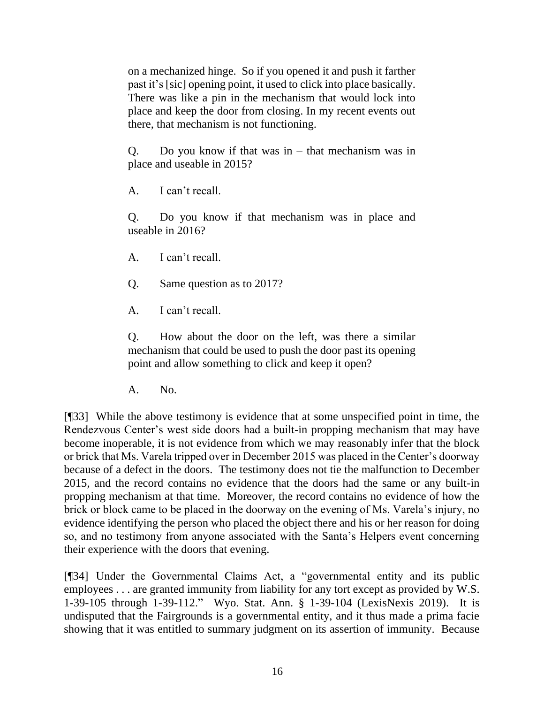on a mechanized hinge. So if you opened it and push it farther past it's [sic] opening point, it used to click into place basically. There was like a pin in the mechanism that would lock into place and keep the door from closing. In my recent events out there, that mechanism is not functioning.

Q. Do you know if that was in  $-$  that mechanism was in place and useable in 2015?

A. I can't recall.

Q. Do you know if that mechanism was in place and useable in 2016?

A. I can't recall.

Q. Same question as to 2017?

A. I can't recall.

Q. How about the door on the left, was there a similar mechanism that could be used to push the door past its opening point and allow something to click and keep it open?

A. No.

[¶33] While the above testimony is evidence that at some unspecified point in time, the Rendezvous Center's west side doors had a built-in propping mechanism that may have become inoperable, it is not evidence from which we may reasonably infer that the block or brick that Ms. Varela tripped over in December 2015 was placed in the Center's doorway because of a defect in the doors. The testimony does not tie the malfunction to December 2015, and the record contains no evidence that the doors had the same or any built-in propping mechanism at that time. Moreover, the record contains no evidence of how the brick or block came to be placed in the doorway on the evening of Ms. Varela's injury, no evidence identifying the person who placed the object there and his or her reason for doing so, and no testimony from anyone associated with the Santa's Helpers event concerning their experience with the doors that evening.

[¶34] Under the Governmental Claims Act, a "governmental entity and its public employees . . . are granted immunity from liability for any tort except as provided by [W.S.](http://www.westlaw.com/Link/Document/FullText?findType=L&pubNum=1000377&cite=WYSTS1-39-105&originatingDoc=I99bbdde03b0911e7bffecab88ce1f178&refType=LQ&originationContext=document&vr=3.0&rs=cblt1.0&transitionType=DocumentItem&contextData=(sc.Search))  [1-39-105](http://www.westlaw.com/Link/Document/FullText?findType=L&pubNum=1000377&cite=WYSTS1-39-105&originatingDoc=I99bbdde03b0911e7bffecab88ce1f178&refType=LQ&originationContext=document&vr=3.0&rs=cblt1.0&transitionType=DocumentItem&contextData=(sc.Search)) through [1-39-112.](http://www.westlaw.com/Link/Document/FullText?findType=L&pubNum=1000377&cite=WYSTS1-39-121&originatingDoc=I99bbdde03b0911e7bffecab88ce1f178&refType=LQ&originationContext=document&vr=3.0&rs=cblt1.0&transitionType=DocumentItem&contextData=(sc.Search))" [Wyo. Stat. Ann. § 1-39-104](http://www.westlaw.com/Link/Document/FullText?findType=L&pubNum=1000377&cite=WYSTS1-39-104&originatingDoc=I99bbdde03b0911e7bffecab88ce1f178&refType=LQ&originationContext=document&vr=3.0&rs=cblt1.0&transitionType=DocumentItem&contextData=(sc.Search)) (LexisNexis 2019). It is undisputed that the Fairgrounds is a governmental entity, and it thus made a prima facie showing that it was entitled to summary judgment on its assertion of immunity. Because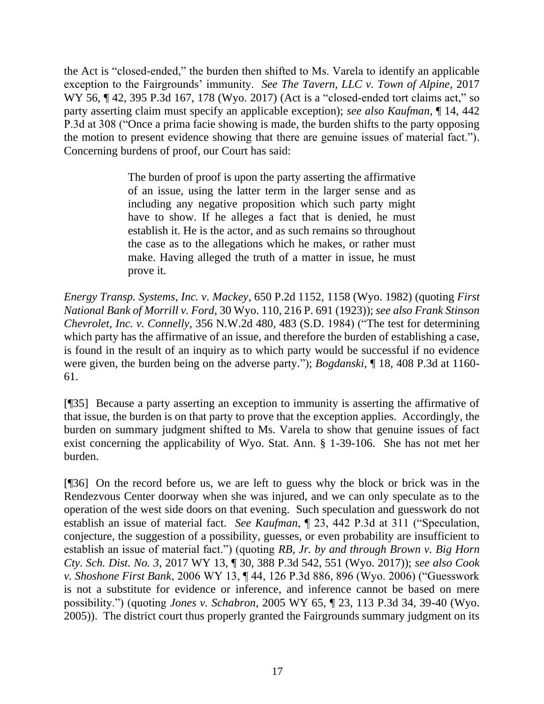the Act is "closed-ended," the burden then shifted to Ms. Varela to identify an applicable exception to the Fairgrounds' immunity. *See The Tavern, LLC v. Town of Alpine*, 2017 WY 56, ¶ 42, 395 P.3d 167, 178 (Wyo. 2017) (Act is a "closed-ended tort claims act," so party asserting claim must specify an applicable exception); *see also Kaufman*, ¶ 14, 442 P.3d at 308 ("Once a prima facie showing is made, the burden shifts to the party opposing the motion to present evidence showing that there are genuine issues of material fact."). Concerning burdens of proof, our Court has said:

> The burden of proof is upon the party asserting the affirmative of an issue, using the latter term in the larger sense and as including any negative proposition which such party might have to show. If he alleges a fact that is denied, he must establish it. He is the actor, and as such remains so throughout the case as to the allegations which he makes, or rather must make. Having alleged the truth of a matter in issue, he must prove it.

*Energy Transp. Systems, Inc. v. Mackey*, 650 P.2d 1152, 1158 (Wyo. 1982) (quoting *First National Bank of Morrill v. Ford*, 30 Wyo. 110, 216 P. 691 (1923)); *see also Frank Stinson Chevrolet, Inc. v. Connelly*, 356 N.W.2d 480, 483 (S.D. 1984) ("The test for determining which party has the affirmative of an issue, and therefore the burden of establishing a case, is found in the result of an inquiry as to which party would be successful if no evidence were given, the burden being on the adverse party."); *Bogdanski*, ¶ 18, 408 P.3d at 1160- 61.

[¶35] Because a party asserting an exception to immunity is asserting the affirmative of that issue, the burden is on that party to prove that the exception applies. Accordingly, the burden on summary judgment shifted to Ms. Varela to show that genuine issues of fact exist concerning the applicability of Wyo. Stat. Ann. § 1-39-106. She has not met her burden.

[¶36] On the record before us, we are left to guess why the block or brick was in the Rendezvous Center doorway when she was injured, and we can only speculate as to the operation of the west side doors on that evening. Such speculation and guesswork do not establish an issue of material fact. *See Kaufman*, ¶ 23, 442 P.3d at 311 ("Speculation, conjecture, the suggestion of a possibility, guesses, or even probability are insufficient to establish an issue of material fact.") (quoting *RB, Jr. by and through Brown v. Big Horn Cty. Sch. Dist. No. 3*, 2017 WY 13, ¶ 30, 388 P.3d 542, 551 (Wyo. 2017)); *see also Cook v. Shoshone First Bank*, 2006 WY 13, ¶ 44, 126 P.3d 886, 896 (Wyo. 2006) ("Guesswork is not a substitute for evidence or inference, and inference cannot be based on mere possibility.") (quoting *Jones v. Schabron*, 2005 WY 65, ¶ 23, 113 P.3d 34, 39-40 (Wyo. 2005)). The district court thus properly granted the Fairgrounds summary judgment on its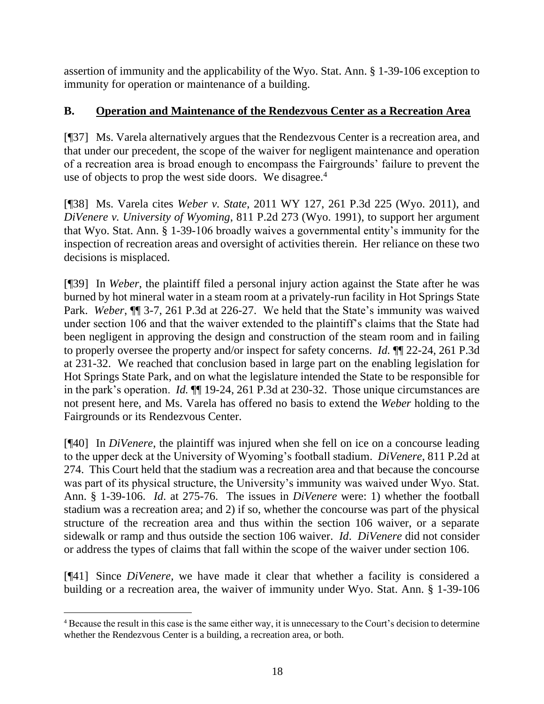assertion of immunity and the applicability of the Wyo. Stat. Ann. § 1-39-106 exception to immunity for operation or maintenance of a building.

# **B. Operation and Maintenance of the Rendezvous Center as a Recreation Area**

[¶37] Ms. Varela alternatively argues that the Rendezvous Center is a recreation area, and that under our precedent, the scope of the waiver for negligent maintenance and operation of a recreation area is broad enough to encompass the Fairgrounds' failure to prevent the use of objects to prop the west side doors. We disagree.<sup>4</sup>

[¶38] Ms. Varela cites *Weber v. State*, 2011 WY 127, 261 P.3d 225 (Wyo. 2011), and *DiVenere v. University of Wyoming*, 811 P.2d 273 (Wyo. 1991), to support her argument that Wyo. Stat. Ann. § 1-39-106 broadly waives a governmental entity's immunity for the inspection of recreation areas and oversight of activities therein. Her reliance on these two decisions is misplaced.

[¶39] In *Weber*, the plaintiff filed a personal injury action against the State after he was burned by hot mineral water in a steam room at a privately-run facility in Hot Springs State Park. *Weber*, ¶¶ 3-7, 261 P.3d at 226-27. We held that the State's immunity was waived under section 106 and that the waiver extended to the plaintiff's claims that the State had been negligent in approving the design and construction of the steam room and in failing to properly oversee the property and/or inspect for safety concerns. *Id.* [¶¶ 22-24, 261 P.3d](http://www.westlaw.com/Link/Document/FullText?findType=Y&serNum=2026134462&pubNum=0004645&originatingDoc=I123d94a1387611e5a795ac035416da91&refType=RP&fi=co_pp_sp_4645_231&originationContext=document&vr=3.0&rs=cblt1.0&transitionType=DocumentItem&contextData=(sc.UserEnteredCitation)#co_pp_sp_4645_231)  [at 231-32.](http://www.westlaw.com/Link/Document/FullText?findType=Y&serNum=2026134462&pubNum=0004645&originatingDoc=I123d94a1387611e5a795ac035416da91&refType=RP&fi=co_pp_sp_4645_231&originationContext=document&vr=3.0&rs=cblt1.0&transitionType=DocumentItem&contextData=(sc.UserEnteredCitation)#co_pp_sp_4645_231) We reached that conclusion based in large part on the enabling legislation for Hot Springs State Park, and on what the legislature intended the State to be responsible for in the park's operation. *Id.* ¶¶ 19-24, 261 P.3d at 230-32. Those unique circumstances are not present here, and Ms. Varela has offered no basis to extend the *Weber* holding to the Fairgrounds or its Rendezvous Center.

[¶40] In *DiVenere*, the plaintiff was injured when she fell on ice on a concourse leading to the upper deck at the University of Wyoming's football stadium. *DiVenere*, 811 P.2d at 274. This Court held that the stadium was a recreation area and that because the concourse was part of its physical structure, the University's immunity was waived under Wyo. Stat. Ann. § 1-39-106. *Id*. at 275-76. The issues in *DiVenere* were: 1) whether the football stadium was a recreation area; and 2) if so, whether the concourse was part of the physical structure of the recreation area and thus within the section 106 waiver, or a separate sidewalk or ramp and thus outside the section 106 waiver. *Id*. *DiVenere* did not consider or address the types of claims that fall within the scope of the waiver under section 106.

[¶41] Since *DiVenere,* we have made it clear that whether a facility is considered a building or a recreation area, the waiver of immunity under Wyo. Stat. Ann. § 1-39-106

<sup>4</sup> Because the result in this case is the same either way, it is unnecessary to the Court's decision to determine whether the Rendezvous Center is a building, a recreation area, or both.